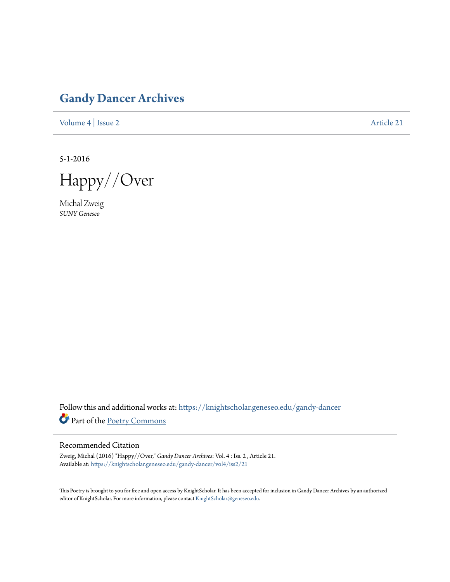## **[Gandy Dancer Archives](https://knightscholar.geneseo.edu/gandy-dancer?utm_source=knightscholar.geneseo.edu%2Fgandy-dancer%2Fvol4%2Fiss2%2F21&utm_medium=PDF&utm_campaign=PDFCoverPages)**

[Volume 4](https://knightscholar.geneseo.edu/gandy-dancer/vol4?utm_source=knightscholar.geneseo.edu%2Fgandy-dancer%2Fvol4%2Fiss2%2F21&utm_medium=PDF&utm_campaign=PDFCoverPages) | [Issue 2](https://knightscholar.geneseo.edu/gandy-dancer/vol4/iss2?utm_source=knightscholar.geneseo.edu%2Fgandy-dancer%2Fvol4%2Fiss2%2F21&utm_medium=PDF&utm_campaign=PDFCoverPages) [Article 21](https://knightscholar.geneseo.edu/gandy-dancer/vol4/iss2/21?utm_source=knightscholar.geneseo.edu%2Fgandy-dancer%2Fvol4%2Fiss2%2F21&utm_medium=PDF&utm_campaign=PDFCoverPages)

5-1-2016

Happy//Over

Michal Zweig *SUNY Geneseo*

Follow this and additional works at: [https://knightscholar.geneseo.edu/gandy-dancer](https://knightscholar.geneseo.edu/gandy-dancer?utm_source=knightscholar.geneseo.edu%2Fgandy-dancer%2Fvol4%2Fiss2%2F21&utm_medium=PDF&utm_campaign=PDFCoverPages) Part of the [Poetry Commons](http://network.bepress.com/hgg/discipline/1153?utm_source=knightscholar.geneseo.edu%2Fgandy-dancer%2Fvol4%2Fiss2%2F21&utm_medium=PDF&utm_campaign=PDFCoverPages)

## Recommended Citation

Zweig, Michal (2016) "Happy//Over," *Gandy Dancer Archives*: Vol. 4 : Iss. 2 , Article 21. Available at: [https://knightscholar.geneseo.edu/gandy-dancer/vol4/iss2/21](https://knightscholar.geneseo.edu/gandy-dancer/vol4/iss2/21?utm_source=knightscholar.geneseo.edu%2Fgandy-dancer%2Fvol4%2Fiss2%2F21&utm_medium=PDF&utm_campaign=PDFCoverPages)

This Poetry is brought to you for free and open access by KnightScholar. It has been accepted for inclusion in Gandy Dancer Archives by an authorized editor of KnightScholar. For more information, please contact [KnightScholar@geneseo.edu.](mailto:KnightScholar@geneseo.edu)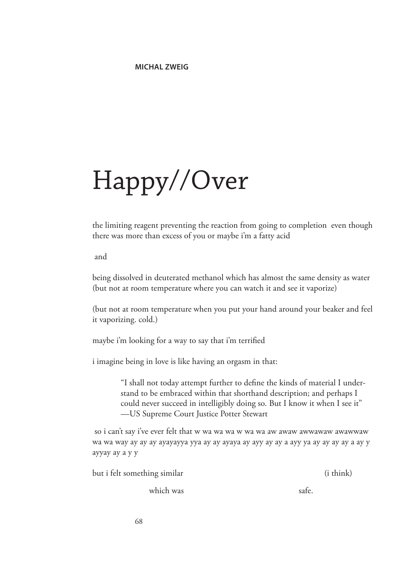## Happy//Over

the limiting reagent preventing the reaction from going to completion even though there was more than excess of you or maybe i'm a fatty acid

and

being dissolved in deuterated methanol which has almost the same density as water (but not at room temperature where you can watch it and see it vaporize)

(but not at room temperature when you put your hand around your beaker and feel it vaporizing. cold.)

maybe i'm looking for a way to say that i'm terrified

i imagine being in love is like having an orgasm in that:

"I shall not today attempt further to define the kinds of material I understand to be embraced within that shorthand description; and perhaps I could never succeed in intelligibly doing so. But I know it when I see it" —US Supreme Court Justice Potter Stewart

 so i can't say i've ever felt that w wa wa wa w wa wa aw awaw awwawaw awawwaw wa wa way ay ay ay ayayayya yya ay ay ayaya ay ayy ay ay a ayy ya ay ay ay ay a ay y ayyay ay a y y

| but i felt something similar | ( <i>i</i> think) |
|------------------------------|-------------------|
| which was                    | safe.             |